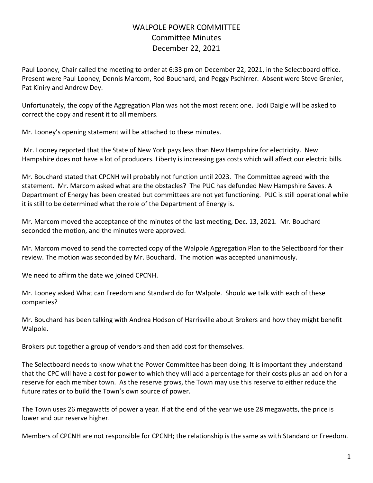## WALPOLE POWER COMMITTEE Committee Minutes December 22, 2021

Paul Looney, Chair called the meeting to order at 6:33 pm on December 22, 2021, in the Selectboard office. Present were Paul Looney, Dennis Marcom, Rod Bouchard, and Peggy Pschirrer. Absent were Steve Grenier, Pat Kiniry and Andrew Dey.

Unfortunately, the copy of the Aggregation Plan was not the most recent one. Jodi Daigle will be asked to correct the copy and resent it to all members.

Mr. Looney's opening statement will be attached to these minutes.

Mr. Looney reported that the State of New York pays less than New Hampshire for electricity. New Hampshire does not have a lot of producers. Liberty is increasing gas costs which will affect our electric bills.

Mr. Bouchard stated that CPCNH will probably not function until 2023. The Committee agreed with the statement. Mr. Marcom asked what are the obstacles? The PUC has defunded New Hampshire Saves. A Department of Energy has been created but committees are not yet functioning. PUC is still operational while it is still to be determined what the role of the Department of Energy is.

Mr. Marcom moved the acceptance of the minutes of the last meeting, Dec. 13, 2021. Mr. Bouchard seconded the motion, and the minutes were approved.

Mr. Marcom moved to send the corrected copy of the Walpole Aggregation Plan to the Selectboard for their review. The motion was seconded by Mr. Bouchard. The motion was accepted unanimously.

We need to affirm the date we joined CPCNH.

Mr. Looney asked What can Freedom and Standard do for Walpole. Should we talk with each of these companies?

Mr. Bouchard has been talking with Andrea Hodson of Harrisville about Brokers and how they might benefit Walpole.

Brokers put together a group of vendors and then add cost for themselves.

The Selectboard needs to know what the Power Committee has been doing. It is important they understand that the CPC will have a cost for power to which they will add a percentage for their costs plus an add on for a reserve for each member town. As the reserve grows, the Town may use this reserve to either reduce the future rates or to build the Town's own source of power.

The Town uses 26 megawatts of power a year. If at the end of the year we use 28 megawatts, the price is lower and our reserve higher.

Members of CPCNH are not responsible for CPCNH; the relationship is the same as with Standard or Freedom.